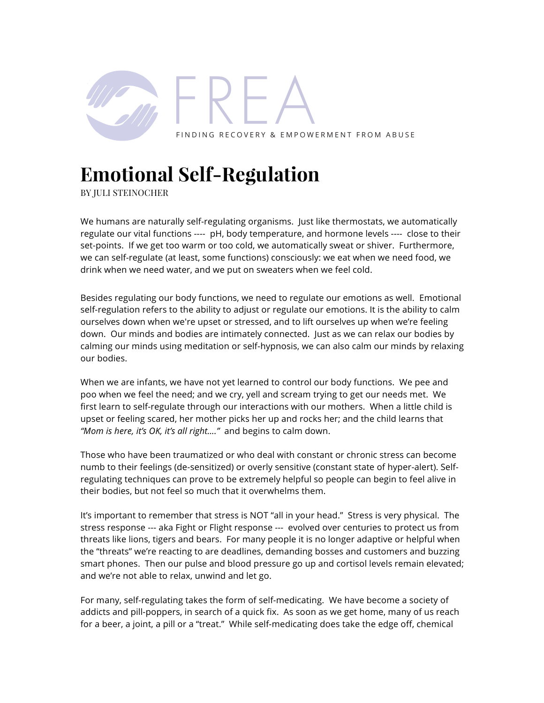

## **Emotional Self-Regulation**

BY JULI STEINOCHER

We humans are naturally self-regulating organisms. Just like thermostats, we automatically regulate our vital functions ---- pH, body temperature, and hormone levels ---- close to their set-points. If we get too warm or too cold, we automatically sweat or shiver. Furthermore, we can self-regulate (at least, some functions) consciously: we eat when we need food, we drink when we need water, and we put on sweaters when we feel cold.

Besides regulating our body functions, we need to regulate our emotions as well. Emotional self-regulation refers to the ability to adjust or regulate our emotions. It is the ability to calm ourselves down when we're upset or stressed, and to lift ourselves up when we're feeling down. Our minds and bodies are intimately connected. Just as we can relax our bodies by calming our minds using meditation or self-hypnosis, we can also calm our minds by relaxing our bodies.

When we are infants, we have not yet learned to control our body functions. We pee and poo when we feel the need; and we cry, yell and scream trying to get our needs met. We first learn to self-regulate through our interactions with our mothers. When a little child is upset or feeling scared, her mother picks her up and rocks her; and the child learns that *"Mom is here, it's OK, it's all right…."* and begins to calm down.

Those who have been traumatized or who deal with constant or chronic stress can become numb to their feelings (de-sensitized) or overly sensitive (constant state of hyper-alert). Selfregulating techniques can prove to be extremely helpful so people can begin to feel alive in their bodies, but not feel so much that it overwhelms them.

It's important to remember that stress is NOT "all in your head." Stress is very physical. The stress response --- aka Fight or Flight response --- evolved over centuries to protect us from threats like lions, tigers and bears. For many people it is no longer adaptive or helpful when the "threats" we're reacting to are deadlines, demanding bosses and customers and buzzing smart phones. Then our pulse and blood pressure go up and cortisol levels remain elevated; and we're not able to relax, unwind and let go.

For many, self-regulating takes the form of self-medicating. We have become a society of addicts and pill-poppers, in search of a quick fix. As soon as we get home, many of us reach for a beer, a joint, a pill or a "treat." While self-medicating does take the edge off, chemical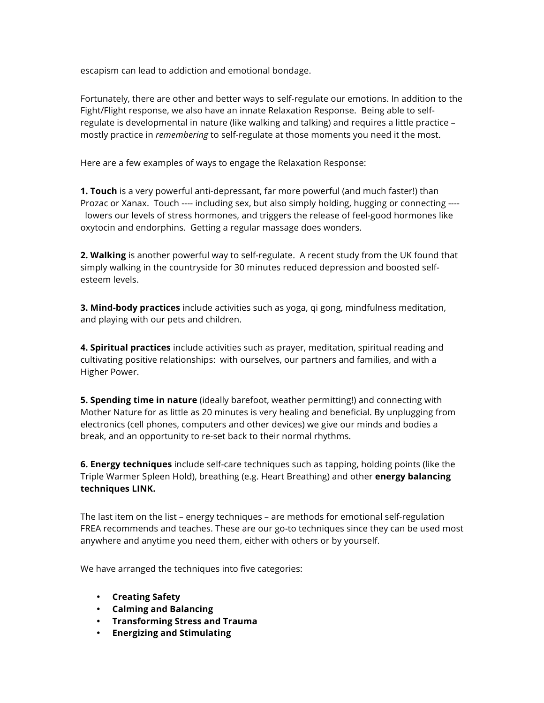escapism can lead to addiction and emotional bondage.

Fortunately, there are other and better ways to self-regulate our emotions. In addition to the Fight/Flight response, we also have an innate Relaxation Response. Being able to selfregulate is developmental in nature (like walking and talking) and requires a little practice – mostly practice in *remembering* to self-regulate at those moments you need it the most.

Here are a few examples of ways to engage the Relaxation Response:

**1. Touch** is a very powerful anti-depressant, far more powerful (and much faster!) than Prozac or Xanax. Touch ---- including sex, but also simply holding, hugging or connecting --- lowers our levels of stress hormones, and triggers the release of feel-good hormones like oxytocin and endorphins. Getting a regular massage does wonders.

**2. Walking** is another powerful way to self-regulate. A recent study from the UK found that simply walking in the countryside for 30 minutes reduced depression and boosted selfesteem levels.

**3. Mind-body practices** include activities such as yoga, qi gong, mindfulness meditation, and playing with our pets and children.

**4. Spiritual practices** include activities such as prayer, meditation, spiritual reading and cultivating positive relationships: with ourselves, our partners and families, and with a Higher Power.

**5. Spending time in nature** (ideally barefoot, weather permitting!) and connecting with Mother Nature for as little as 20 minutes is very healing and beneficial. By unplugging from electronics (cell phones, computers and other devices) we give our minds and bodies a break, and an opportunity to re-set back to their normal rhythms.

**6. Energy techniques** include self-care techniques such as tapping, holding points (like the Triple Warmer Spleen Hold), breathing (e.g. Heart Breathing) and other **energy balancing techniques LINK.**

The last item on the list – energy techniques – are methods for emotional self-regulation FREA recommends and teaches. These are our go-to techniques since they can be used most anywhere and anytime you need them, either with others or by yourself.

We have arranged the techniques into five categories:

- **Creating Safety**
- **Calming and Balancing**
- **Transforming Stress and Trauma**
- **Energizing and Stimulating**